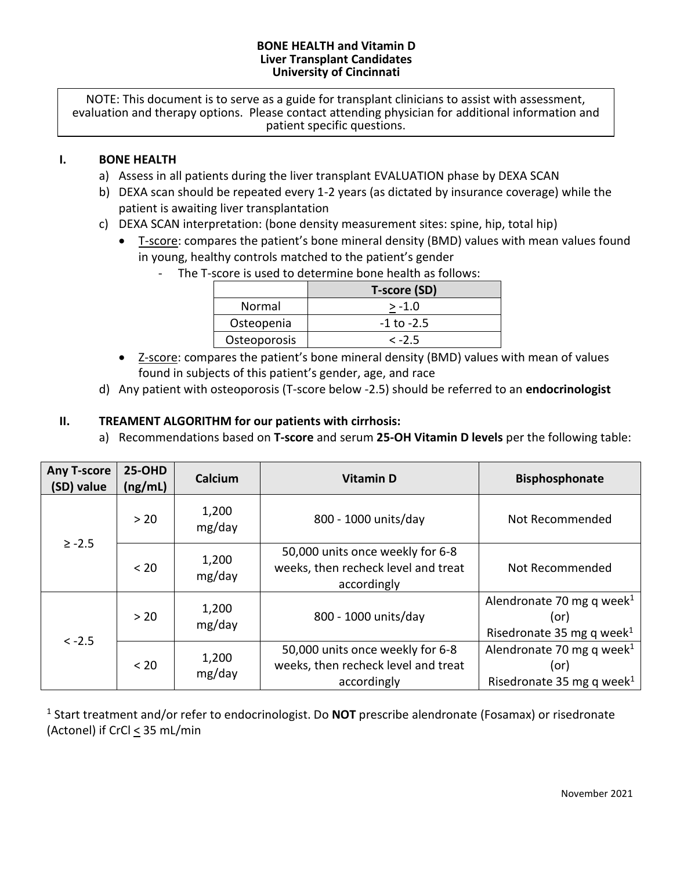#### **BONE HEALTH and Vitamin D Liver Transplant Candidates University of Cincinnati**

NOTE: This document is to serve as a guide for transplant clinicians to assist with assessment, evaluation and therapy options. Please contact attending physician for additional information and patient specific questions.

## **I. BONE HEALTH**

- a) Assess in all patients during the liver transplant EVALUATION phase by DEXA SCAN
- b) DEXA scan should be repeated every 1-2 years (as dictated by insurance coverage) while the patient is awaiting liver transplantation
- c) DEXA SCAN interpretation: (bone density measurement sites: spine, hip, total hip)
	- T-score: compares the patient's bone mineral density (BMD) values with mean values found in young, healthy controls matched to the patient's gender
		- The T-score is used to determine bone health as follows:

|              | T-score (SD)   |  |  |
|--------------|----------------|--|--|
| Normal       | $> -1.0$       |  |  |
| Osteopenia   | $-1$ to $-2.5$ |  |  |
| Osteoporosis | $< -2.5$       |  |  |

- Z-score: compares the patient's bone mineral density (BMD) values with mean of values found in subjects of this patient's gender, age, and race
- d) Any patient with osteoporosis (T-score below -2.5) should be referred to an **endocrinologist**

# **II. TREAMENT ALGORITHM for our patients with cirrhosis:**

a) Recommendations based on **T-score** and serum **25-OH Vitamin D levels** per the following table:

| <b>Any T-score</b><br>(SD) value | <b>25-OHD</b><br>(ng/mL) | Calcium         | <b>Vitamin D</b>                                                                       | <b>Bisphosphonate</b>                                                                  |
|----------------------------------|--------------------------|-----------------|----------------------------------------------------------------------------------------|----------------------------------------------------------------------------------------|
| $\ge -2.5$                       | > 20                     | 1,200<br>mg/day | 800 - 1000 units/day                                                                   | Not Recommended                                                                        |
|                                  | < 20                     | 1,200<br>mg/day | 50,000 units once weekly for 6-8<br>weeks, then recheck level and treat<br>accordingly | Not Recommended                                                                        |
| $<-2.5$                          | > 20                     | 1,200<br>mg/day | 800 - 1000 units/day                                                                   | Alendronate 70 mg q week <sup>1</sup><br>(or)<br>Risedronate 35 mg q week <sup>1</sup> |
|                                  | < 20                     | 1,200<br>mg/day | 50,000 units once weekly for 6-8<br>weeks, then recheck level and treat<br>accordingly | Alendronate 70 mg q week <sup>1</sup><br>(or)<br>Risedronate 35 mg q week <sup>1</sup> |

<sup>1</sup> Start treatment and/or refer to endocrinologist. Do **NOT** prescribe alendronate (Fosamax) or risedronate (Actonel) if CrCl  $\leq$  35 mL/min